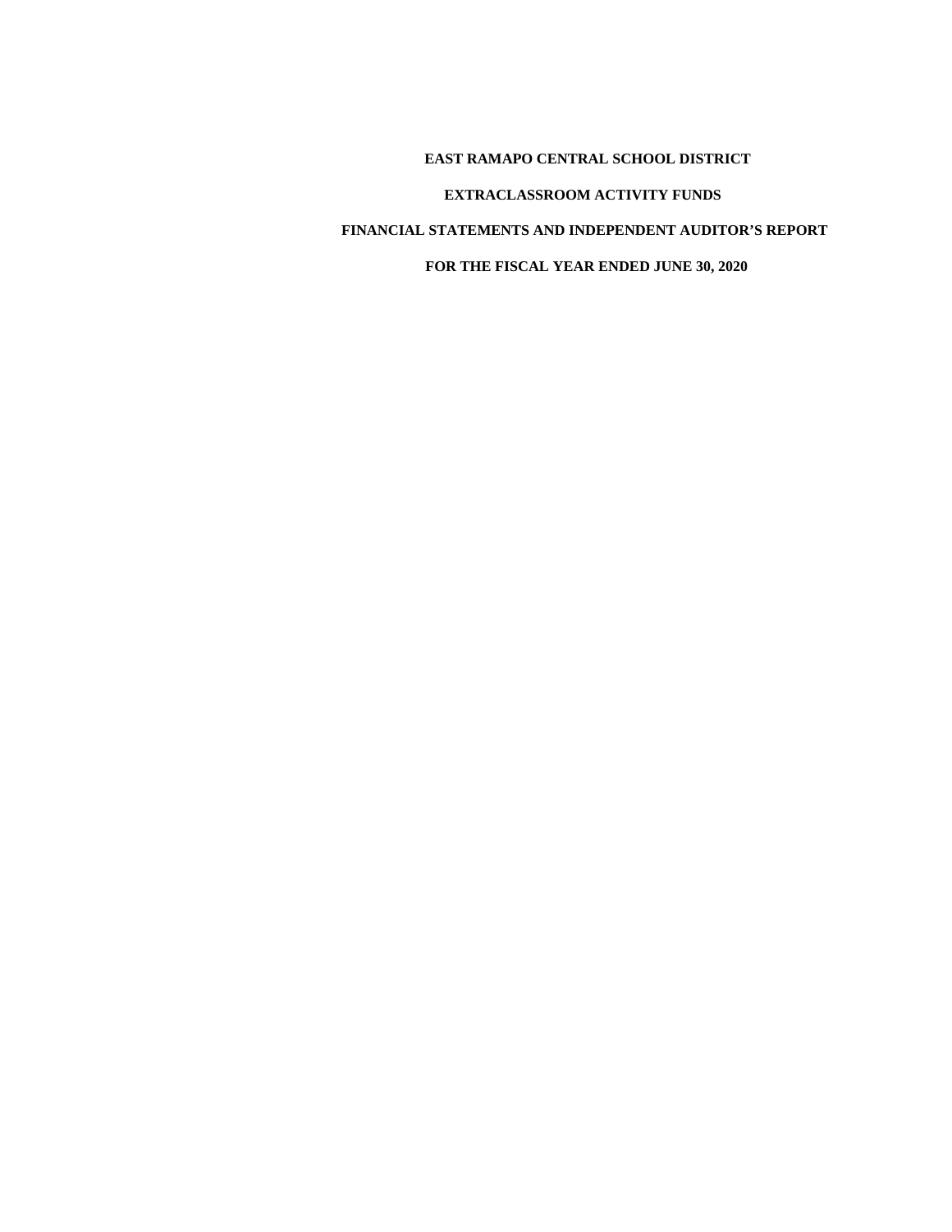#### **EAST RAMAPO CENTRAL SCHOOL DISTRICT**

#### **EXTRACLASSROOM ACTIVITY FUNDS**

### **FINANCIAL STATEMENTS AND INDEPENDENT AUDITOR'S REPORT**

#### **FOR THE FISCAL YEAR ENDED JUNE 30, 2020**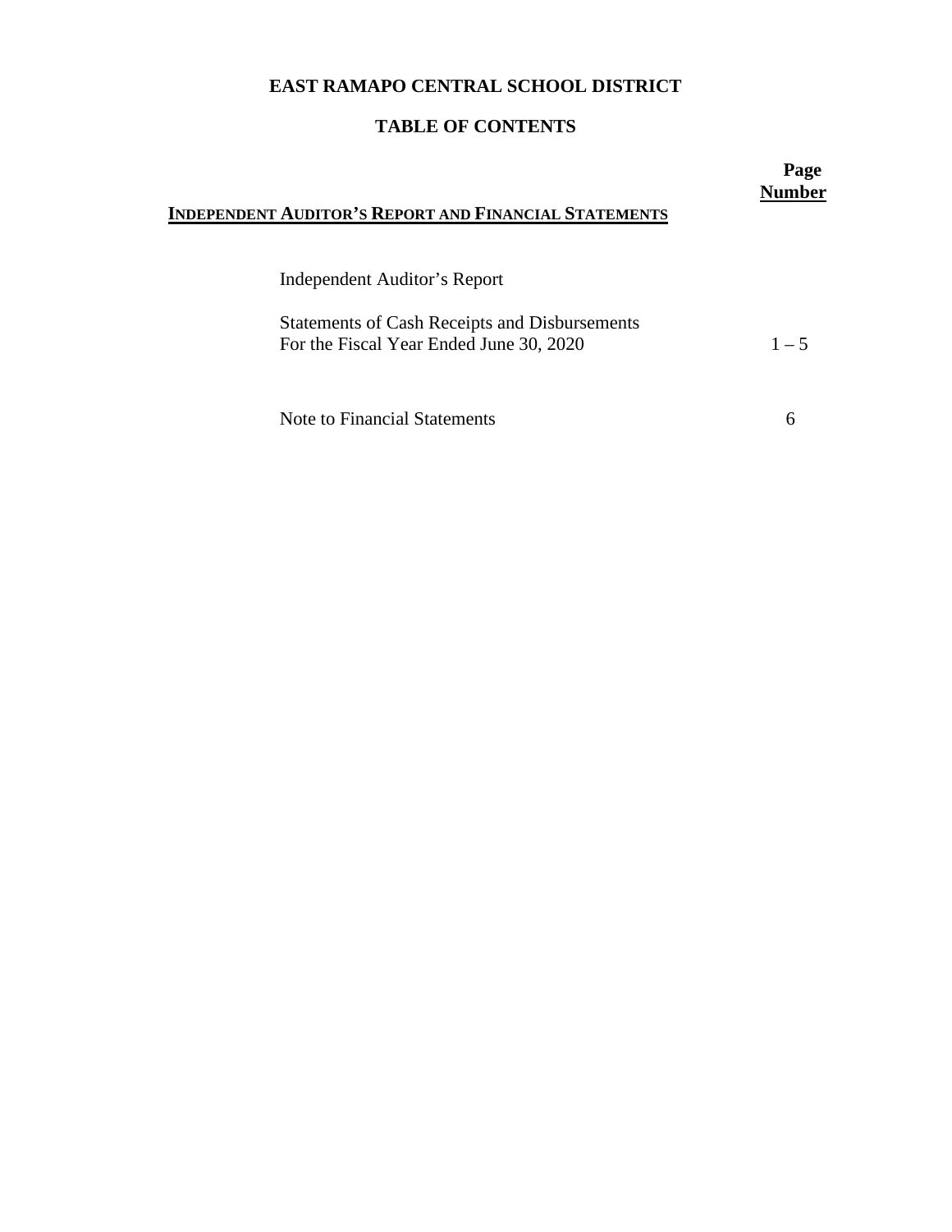# **EAST RAMAPO CENTRAL SCHOOL DISTRICT**

# **TABLE OF CONTENTS**

# **Number INDEPENDENT AUDITOR'S REPORT AND FINANCIAL STATEMENTS**

Independent Auditor's Report

| <b>Statements of Cash Receipts and Disbursements</b> |         |
|------------------------------------------------------|---------|
| For the Fiscal Year Ended June 30, 2020              | $1 - 5$ |

Note to Financial Statements 6

**Page**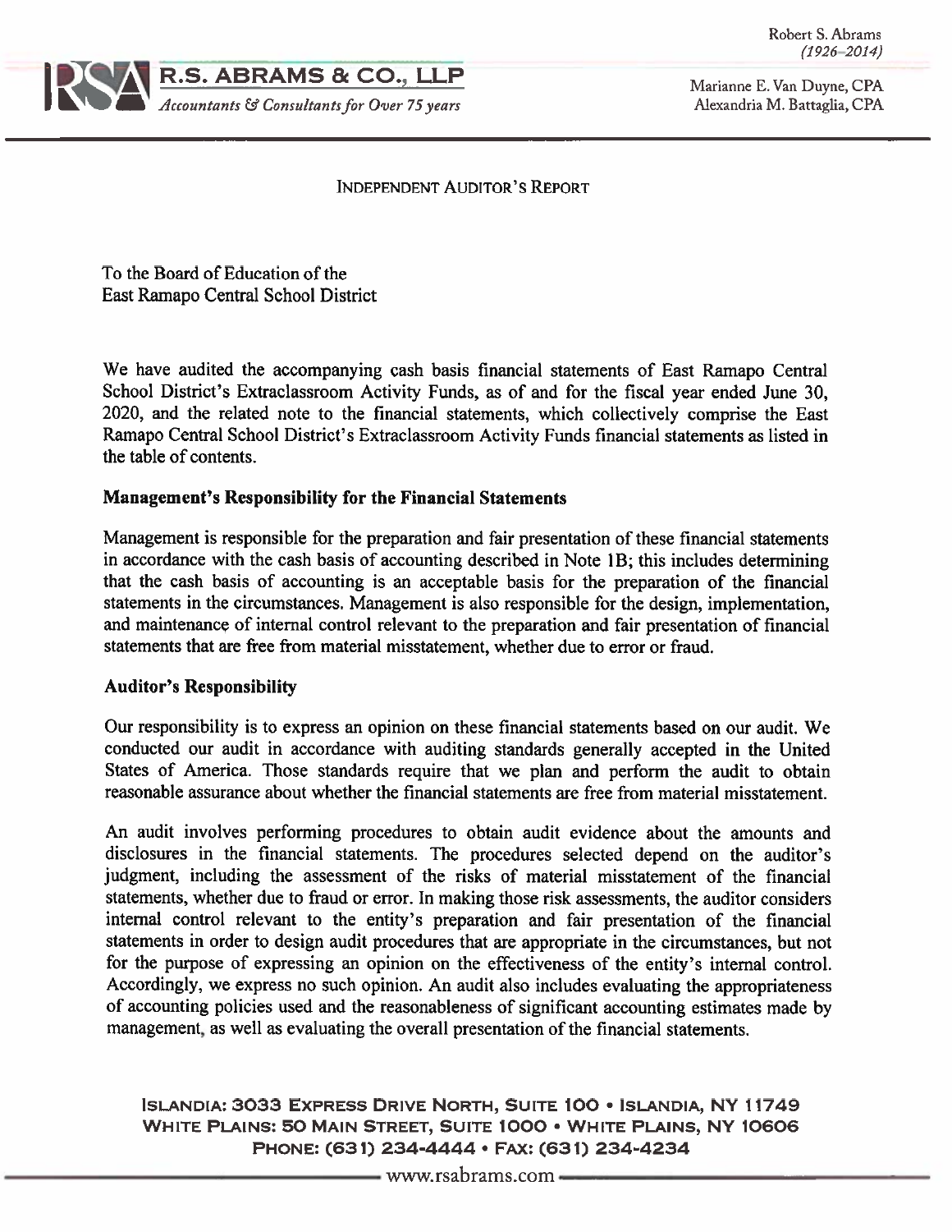Robert S. Abrams  $(1926 - 2014)$ 



R.S. ABRAMS & CO., LLP

Marianne E. Van Duyne, CPA Alexandria M. Battaglia, CPA

### **INDEPENDENT AUDITOR'S REPORT**

To the Board of Education of the East Ramapo Central School District

We have audited the accompanying cash basis financial statements of East Ramapo Central School District's Extraclassroom Activity Funds, as of and for the fiscal year ended June 30, 2020, and the related note to the financial statements, which collectively comprise the East Ramapo Central School District's Extraclassroom Activity Funds financial statements as listed in the table of contents.

### **Management's Responsibility for the Financial Statements**

Management is responsible for the preparation and fair presentation of these financial statements in accordance with the cash basis of accounting described in Note 1B; this includes determining that the cash basis of accounting is an acceptable basis for the preparation of the financial statements in the circumstances. Management is also responsible for the design, implementation, and maintenance of internal control relevant to the preparation and fair presentation of financial statements that are free from material misstatement, whether due to error or fraud.

### **Auditor's Responsibility**

Our responsibility is to express an opinion on these financial statements based on our audit. We conducted our audit in accordance with auditing standards generally accepted in the United States of America. Those standards require that we plan and perform the audit to obtain reasonable assurance about whether the financial statements are free from material misstatement.

An audit involves performing procedures to obtain audit evidence about the amounts and disclosures in the financial statements. The procedures selected depend on the auditor's judgment, including the assessment of the risks of material misstatement of the financial statements, whether due to fraud or error. In making those risk assessments, the auditor considers internal control relevant to the entity's preparation and fair presentation of the financial statements in order to design audit procedures that are appropriate in the circumstances, but not for the purpose of expressing an opinion on the effectiveness of the entity's internal control. Accordingly, we express no such opinion. An audit also includes evaluating the appropriateness of accounting policies used and the reasonableness of significant accounting estimates made by management, as well as evaluating the overall presentation of the financial statements.

## ISLANDIA: 3033 EXPRESS DRIVE NORTH, SUITE 100 · ISLANDIA, NY 11749 WHITE PLAINS: 50 MAIN STREET, SUITE 1000 . WHITE PLAINS, NY 10606 PHONE: (631) 234-4444 · FAX: (631) 234-4234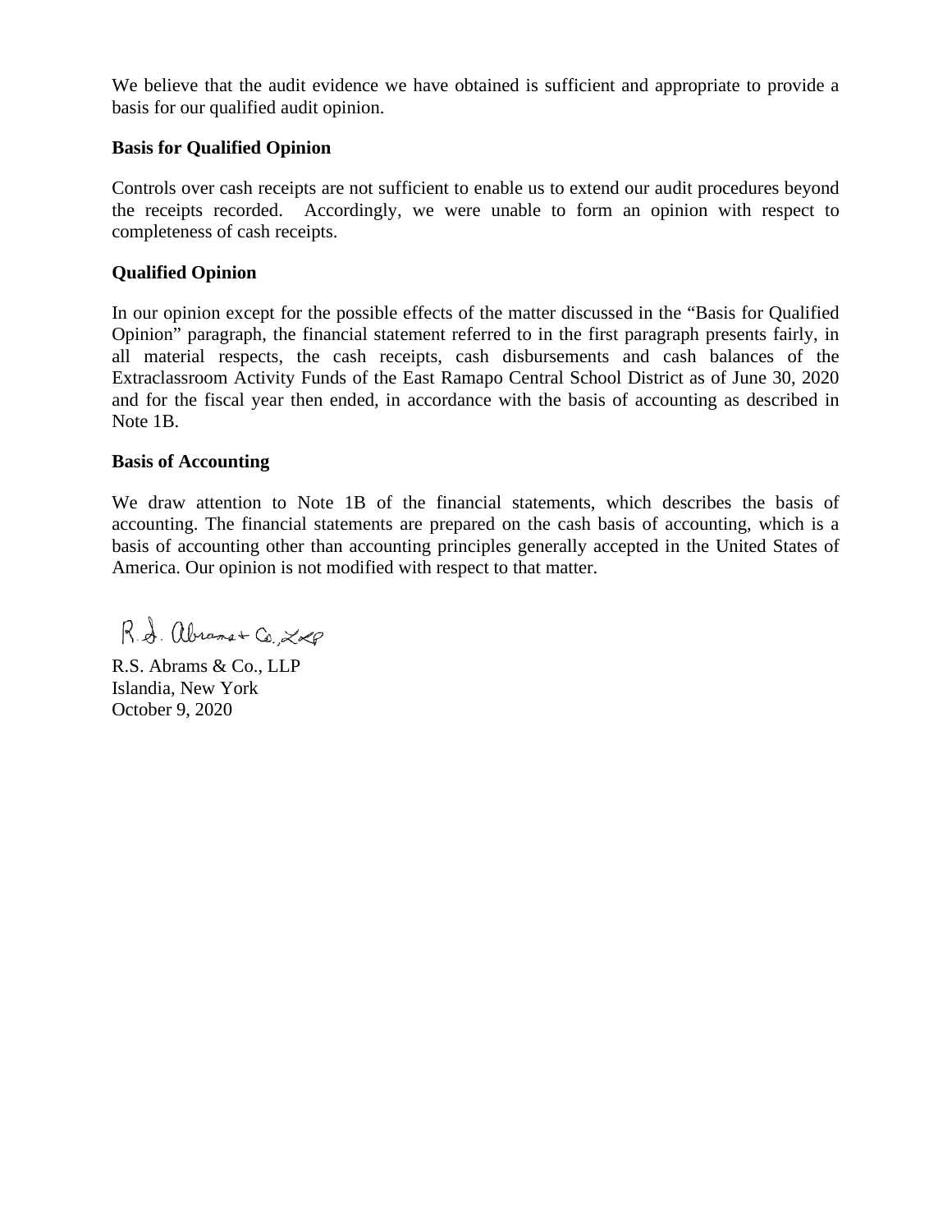We believe that the audit evidence we have obtained is sufficient and appropriate to provide a basis for our qualified audit opinion.

### **Basis for Qualified Opinion**

Controls over cash receipts are not sufficient to enable us to extend our audit procedures beyond the receipts recorded. Accordingly, we were unable to form an opinion with respect to completeness of cash receipts.

### **Qualified Opinion**

In our opinion except for the possible effects of the matter discussed in the "Basis for Qualified Opinion" paragraph, the financial statement referred to in the first paragraph presents fairly, in all material respects, the cash receipts, cash disbursements and cash balances of the Extraclassroom Activity Funds of the East Ramapo Central School District as of June 30, 2020 and for the fiscal year then ended, in accordance with the basis of accounting as described in Note 1B.

### **Basis of Accounting**

We draw attention to Note 1B of the financial statements, which describes the basis of accounting. The financial statements are prepared on the cash basis of accounting, which is a basis of accounting other than accounting principles generally accepted in the United States of America. Our opinion is not modified with respect to that matter.

R.S. abrams + Co. 228

R.S. Abrams & Co., LLP Islandia, New York October 9, 2020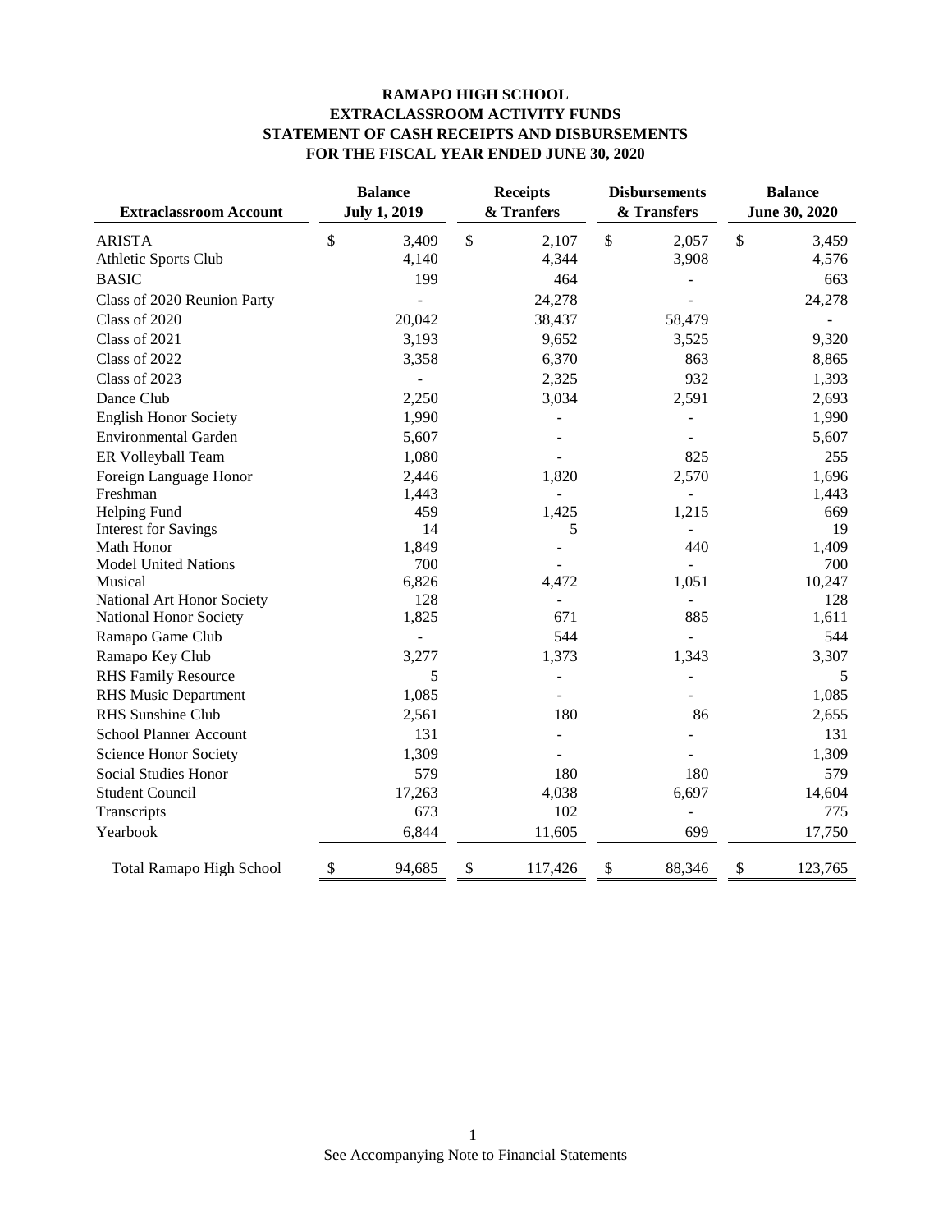### **RAMAPO HIGH SCHOOL EXTRACLASSROOM ACTIVITY FUNDS STATEMENT OF CASH RECEIPTS AND DISBURSEMENTS FOR THE FISCAL YEAR ENDED JUNE 30, 2020**

| <b>Extraclassroom Account</b>   | <b>Balance</b><br><b>July 1, 2019</b> |        | <b>Receipts</b><br>& Tranfers |                           | <b>Disbursements</b><br>& Transfers | <b>Balance</b><br>June 30, 2020 |         |
|---------------------------------|---------------------------------------|--------|-------------------------------|---------------------------|-------------------------------------|---------------------------------|---------|
| <b>ARISTA</b>                   | \$                                    | 3,409  | \$<br>2,107                   | $\boldsymbol{\mathsf{S}}$ | 2,057                               | \$                              | 3,459   |
| Athletic Sports Club            |                                       | 4,140  | 4,344                         |                           | 3,908                               |                                 | 4,576   |
| <b>BASIC</b>                    |                                       | 199    | 464                           |                           |                                     |                                 | 663     |
| Class of 2020 Reunion Party     |                                       |        | 24,278                        |                           |                                     |                                 | 24,278  |
| Class of 2020                   |                                       | 20,042 | 38,437                        |                           | 58,479                              |                                 |         |
| Class of 2021                   |                                       | 3,193  | 9,652                         |                           | 3,525                               |                                 | 9,320   |
| Class of 2022                   |                                       | 3,358  | 6,370                         |                           | 863                                 |                                 | 8,865   |
| Class of 2023                   |                                       |        | 2,325                         |                           | 932                                 |                                 | 1,393   |
| Dance Club                      |                                       | 2,250  | 3,034                         |                           | 2,591                               |                                 | 2,693   |
| <b>English Honor Society</b>    |                                       | 1,990  |                               |                           |                                     |                                 | 1,990   |
| <b>Environmental Garden</b>     |                                       | 5,607  |                               |                           |                                     |                                 | 5,607   |
| ER Volleyball Team              |                                       | 1,080  |                               |                           | 825                                 |                                 | 255     |
| Foreign Language Honor          |                                       | 2,446  | 1,820                         |                           | 2,570                               |                                 | 1,696   |
| Freshman                        |                                       | 1,443  |                               |                           |                                     |                                 | 1,443   |
| Helping Fund                    |                                       | 459    | 1,425                         |                           | 1,215                               |                                 | 669     |
| <b>Interest for Savings</b>     |                                       | 14     | 5                             |                           |                                     |                                 | 19      |
| Math Honor                      |                                       | 1,849  |                               |                           | 440                                 |                                 | 1,409   |
| <b>Model United Nations</b>     |                                       | 700    |                               |                           |                                     |                                 | 700     |
| Musical                         |                                       | 6,826  | 4,472                         |                           | 1,051                               |                                 | 10,247  |
| National Art Honor Society      |                                       | 128    |                               |                           |                                     |                                 | 128     |
| National Honor Society          |                                       | 1,825  | 671                           |                           | 885                                 |                                 | 1,611   |
| Ramapo Game Club                |                                       |        | 544                           |                           |                                     |                                 | 544     |
| Ramapo Key Club                 |                                       | 3,277  | 1,373                         |                           | 1,343                               |                                 | 3,307   |
| <b>RHS Family Resource</b>      |                                       | 5      |                               |                           |                                     |                                 | 5       |
| <b>RHS Music Department</b>     |                                       | 1,085  |                               |                           |                                     |                                 | 1,085   |
| <b>RHS</b> Sunshine Club        |                                       | 2,561  | 180                           |                           | 86                                  |                                 | 2,655   |
| <b>School Planner Account</b>   |                                       | 131    |                               |                           |                                     |                                 | 131     |
| Science Honor Society           |                                       | 1,309  |                               |                           |                                     |                                 | 1,309   |
| Social Studies Honor            |                                       | 579    | 180                           |                           | 180                                 |                                 | 579     |
| <b>Student Council</b>          |                                       | 17,263 | 4,038                         |                           | 6,697                               |                                 | 14,604  |
| Transcripts                     |                                       | 673    | 102                           |                           |                                     |                                 | 775     |
| Yearbook                        |                                       | 6,844  | 11,605                        |                           | 699                                 |                                 | 17,750  |
| <b>Total Ramapo High School</b> | \$                                    | 94,685 | \$<br>117,426                 | \$                        | 88,346                              | \$                              | 123,765 |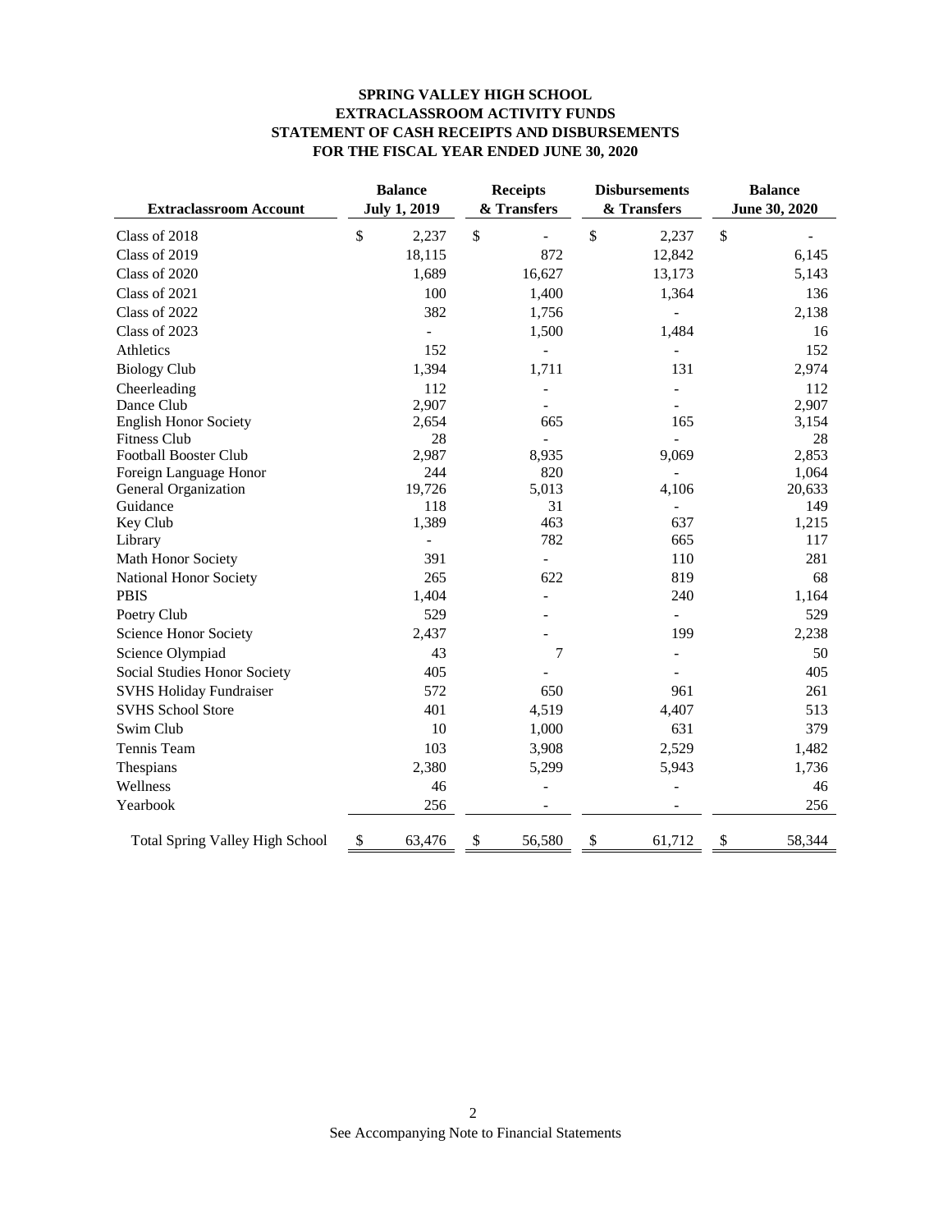#### **SPRING VALLEY HIGH SCHOOL EXTRACLASSROOM ACTIVITY FUNDS STATEMENT OF CASH RECEIPTS AND DISBURSEMENTS FOR THE FISCAL YEAR ENDED JUNE 30, 2020**

| <b>Extraclassroom Account</b>          | <b>Balance</b><br><b>July 1, 2019</b> |                          | <b>Receipts</b><br>& Transfers | <b>Disbursements</b><br>& Transfers | <b>Balance</b><br>June 30, 2020 |        |
|----------------------------------------|---------------------------------------|--------------------------|--------------------------------|-------------------------------------|---------------------------------|--------|
| Class of 2018                          | \$                                    | 2,237                    | \$                             | \$<br>2,237                         | \$                              |        |
| Class of 2019                          |                                       | 18,115                   | 872                            | 12,842                              |                                 | 6,145  |
| Class of 2020                          |                                       | 1,689                    | 16,627                         | 13,173                              |                                 | 5,143  |
| Class of 2021                          |                                       | 100                      | 1,400                          | 1,364                               |                                 | 136    |
| Class of 2022                          |                                       | 382                      | 1,756                          | $\overline{a}$                      |                                 | 2,138  |
| Class of 2023                          |                                       |                          | 1,500                          | 1,484                               |                                 | 16     |
| Athletics                              |                                       | 152                      | $\blacksquare$                 |                                     |                                 | 152    |
| <b>Biology Club</b>                    |                                       | 1,394                    | 1,711                          | 131                                 |                                 | 2,974  |
| Cheerleading                           |                                       | 112                      |                                |                                     |                                 | 112    |
| Dance Club                             |                                       | 2,907                    |                                |                                     |                                 | 2,907  |
| English Honor Society                  |                                       | 2,654                    | 665                            | 165                                 |                                 | 3,154  |
| <b>Fitness Club</b>                    |                                       | 28                       |                                |                                     |                                 | 28     |
| <b>Football Booster Club</b>           |                                       | 2,987                    | 8,935                          | 9,069                               |                                 | 2,853  |
| Foreign Language Honor                 |                                       | 244                      | 820                            | $\overline{a}$                      |                                 | 1,064  |
| <b>General Organization</b>            |                                       | 19,726                   | 5,013                          | 4,106                               |                                 | 20,633 |
| Guidance                               |                                       | 118                      | 31                             |                                     |                                 | 149    |
| Key Club                               |                                       | 1,389                    | 463                            | 637                                 |                                 | 1,215  |
| Library                                |                                       | $\overline{\phantom{m}}$ | 782                            | 665                                 |                                 | 117    |
| Math Honor Society                     |                                       | 391                      |                                | 110                                 |                                 | 281    |
| National Honor Society                 |                                       | 265                      | 622                            | 819                                 |                                 | 68     |
| <b>PBIS</b>                            |                                       | 1,404                    |                                | 240                                 |                                 | 1,164  |
| Poetry Club                            |                                       | 529                      |                                |                                     |                                 | 529    |
| Science Honor Society                  |                                       | 2,437                    |                                | 199                                 |                                 | 2,238  |
| Science Olympiad                       |                                       | 43                       | 7                              |                                     |                                 | 50     |
| Social Studies Honor Society           |                                       | 405                      |                                |                                     |                                 | 405    |
| <b>SVHS Holiday Fundraiser</b>         |                                       | 572                      | 650                            | 961                                 |                                 | 261    |
| <b>SVHS School Store</b>               |                                       | 401                      | 4,519                          | 4,407                               |                                 | 513    |
| Swim Club                              |                                       | 10                       | 1,000                          | 631                                 |                                 | 379    |
| Tennis Team                            |                                       | 103                      | 3,908                          | 2,529                               |                                 | 1,482  |
| Thespians                              |                                       | 2,380                    | 5,299                          | 5,943                               |                                 | 1,736  |
| Wellness                               |                                       | 46                       | L,                             |                                     |                                 | 46     |
| Yearbook                               |                                       | 256                      | $\overline{a}$                 |                                     |                                 | 256    |
| <b>Total Spring Valley High School</b> | \$                                    | 63,476                   | \$<br>56,580                   | \$<br>61,712                        | \$                              | 58,344 |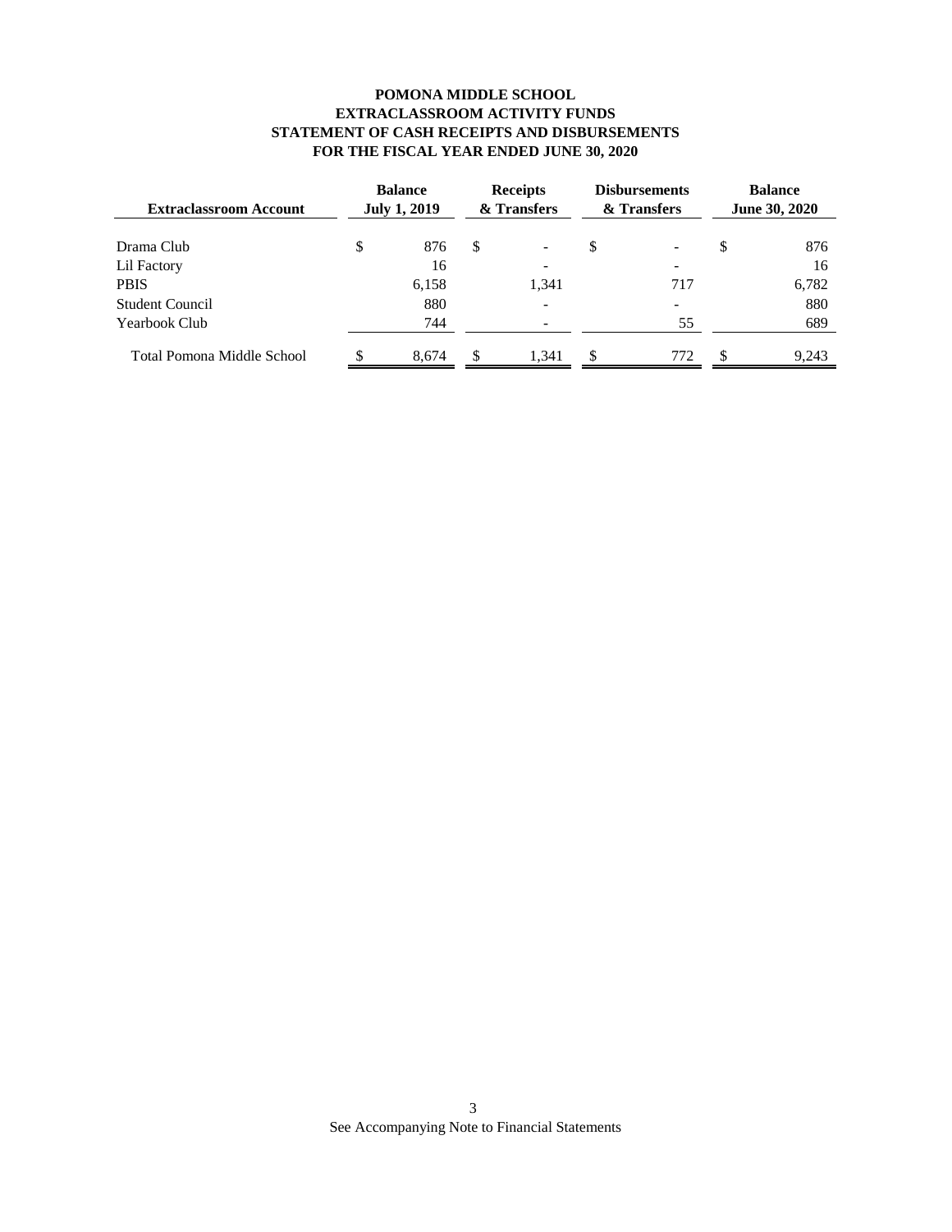#### **POMONA MIDDLE SCHOOL EXTRACLASSROOM ACTIVITY FUNDS STATEMENT OF CASH RECEIPTS AND DISBURSEMENTS FOR THE FISCAL YEAR ENDED JUNE 30, 2020**

| <b>Extraclassroom Account</b> | <b>Balance</b><br><b>July 1, 2019</b> |          | <b>Receipts</b><br>& Transfers |    | <b>Disbursements</b><br>& Transfers |    | <b>Balance</b><br>June 30, 2020 |  |
|-------------------------------|---------------------------------------|----------|--------------------------------|----|-------------------------------------|----|---------------------------------|--|
| Drama Club                    | \$<br>876                             | <b>S</b> | $\overline{\phantom{a}}$       | \$ |                                     | S  | 876                             |  |
| Lil Factory                   | 16                                    |          | $\overline{\phantom{a}}$       |    | -                                   |    | 16                              |  |
| <b>PBIS</b>                   | 6,158                                 |          | 1,341                          |    | 717                                 |    | 6,782                           |  |
| <b>Student Council</b>        | 880                                   |          | $\overline{\phantom{a}}$       |    | -                                   |    | 880                             |  |
| Yearbook Club                 | 744                                   |          | -                              |    | 55                                  |    | 689                             |  |
| Total Pomona Middle School    | \$<br>8.674                           | S        | 1.341                          | \$ | 772                                 | £. | 9,243                           |  |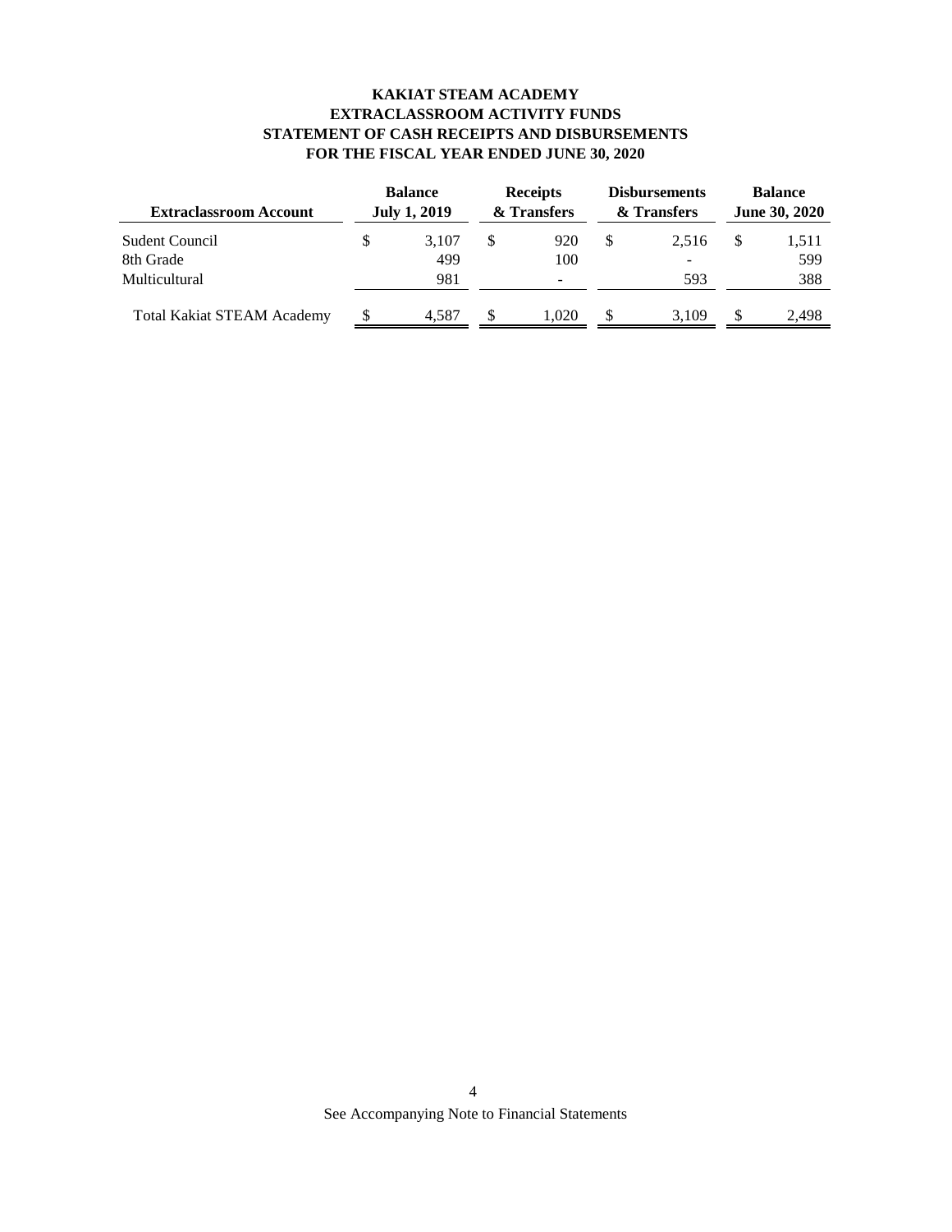### **KAKIAT STEAM ACADEMY EXTRACLASSROOM ACTIVITY FUNDS STATEMENT OF CASH RECEIPTS AND DISBURSEMENTS FOR THE FISCAL YEAR ENDED JUNE 30, 2020**

| <b>Extraclassroom Account</b>     | <b>Balance</b><br><b>July 1, 2019</b> |       | <b>Receipts</b><br>& Transfers |                          | <b>Disbursements</b><br>& Transfers |       | <b>Balance</b><br><b>June 30, 2020</b> |       |
|-----------------------------------|---------------------------------------|-------|--------------------------------|--------------------------|-------------------------------------|-------|----------------------------------------|-------|
| Sudent Council                    | S                                     | 3.107 | \$                             | 920                      |                                     | 2.516 |                                        | 1.511 |
| 8th Grade                         |                                       | 499   |                                | 100                      |                                     |       |                                        | 599   |
| Multicultural                     |                                       | 981   |                                | $\overline{\phantom{a}}$ |                                     | 593   |                                        | 388   |
| <b>Total Kakiat STEAM Academy</b> |                                       | 4.587 | S                              | 1.020                    | S                                   | 3.109 |                                        | 2,498 |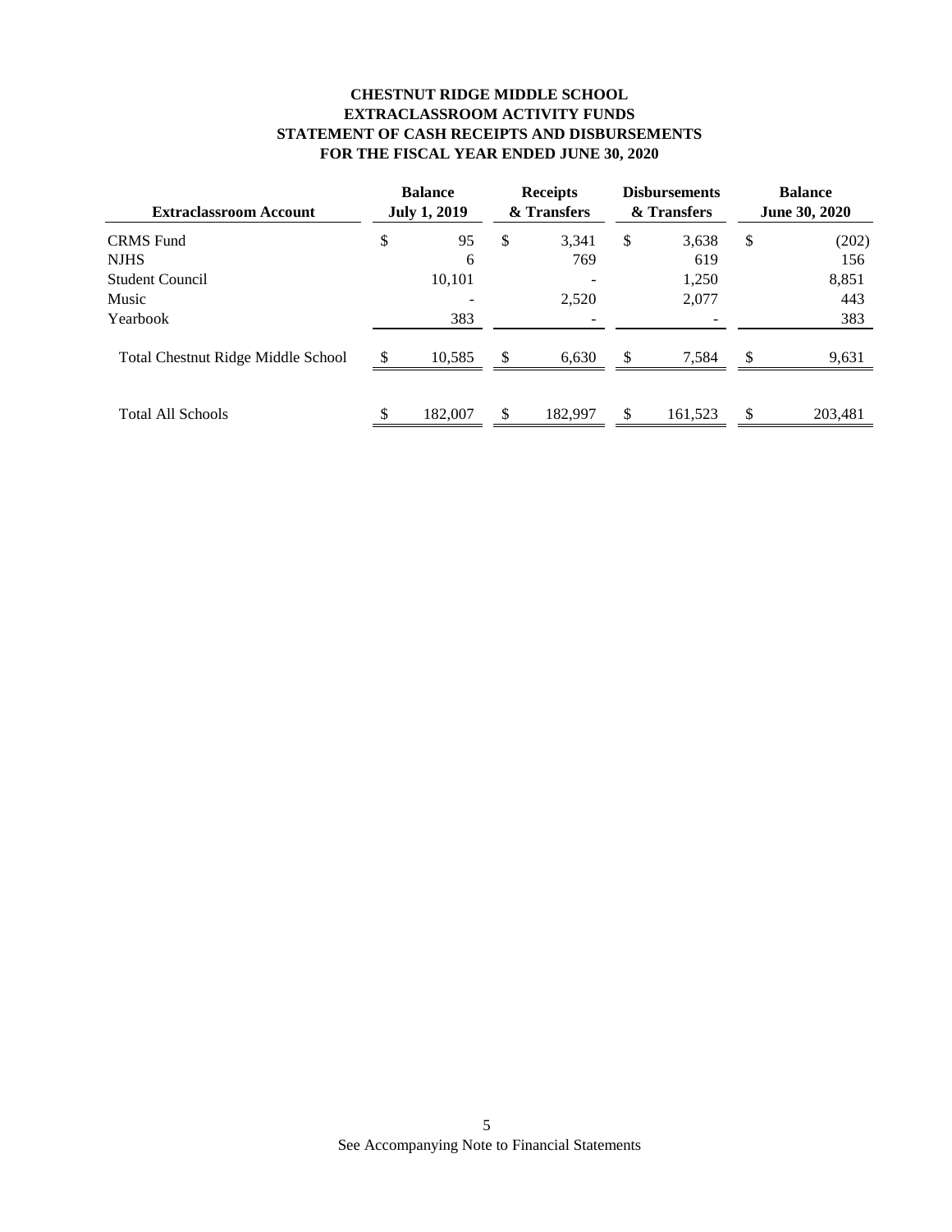### **CHESTNUT RIDGE MIDDLE SCHOOL EXTRACLASSROOM ACTIVITY FUNDS STATEMENT OF CASH RECEIPTS AND DISBURSEMENTS FOR THE FISCAL YEAR ENDED JUNE 30, 2020**

| <b>Extraclassroom Account</b>             |    | <b>Balance</b><br><b>July 1, 2019</b> |     | <b>Receipts</b><br>& Transfers |               | <b>Disbursements</b><br>& Transfers |     | <b>Balance</b><br>June 30, 2020 |  |
|-------------------------------------------|----|---------------------------------------|-----|--------------------------------|---------------|-------------------------------------|-----|---------------------------------|--|
| <b>CRMS</b> Fund                          | \$ | 95                                    | \$  | 3,341                          | \$            | 3,638                               | \$  | (202)                           |  |
| <b>NJHS</b>                               |    | 6                                     |     | 769                            |               | 619                                 |     | 156                             |  |
| <b>Student Council</b>                    |    | 10,101                                |     |                                |               | 1,250                               |     | 8,851                           |  |
| Music                                     |    |                                       |     | 2,520                          |               | 2,077                               |     | 443                             |  |
| Yearbook                                  |    | 383                                   |     |                                |               |                                     |     | 383                             |  |
| <b>Total Chestnut Ridge Middle School</b> |    | 10,585                                | \$. | 6.630                          | <sup>\$</sup> | 7,584                               | \$. | 9,631                           |  |
| <b>Total All Schools</b>                  |    | 182,007                               | S   | 182,997                        | <sup>\$</sup> | 161,523                             |     | 203,481                         |  |